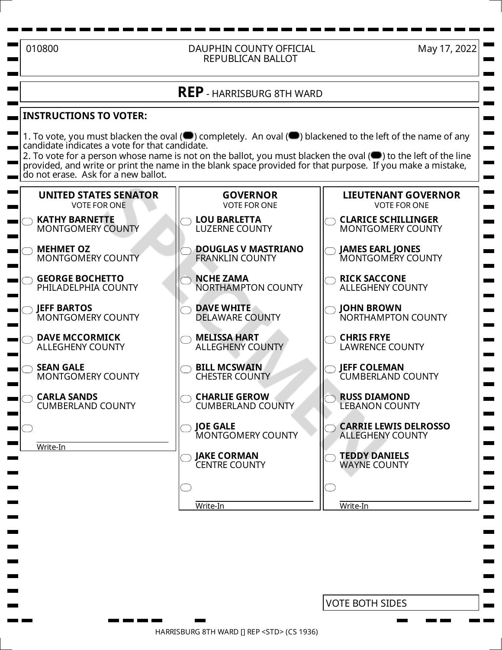## 010800 DAUPHIN COUNTY OFFICIAL REPUBLICAN BALLOT

May 17, 2022

## **REP** - HARRISBURG 8TH WARD

## **INSTRUCTIONS TO VOTER:**

1. To vote, you must blacken the oval ( $\blacksquare$ ) completely. An oval ( $\blacksquare$ ) blackened to the left of the name of any candidate indicates a vote for that candidate.

2. To vote for a person whose name is not on the ballot, you must blacken the oval  $(\blacksquare)$  to the left of the line provided, and write or print the name in the blank space provided for that purpose. If you make a mistake, do not erase. Ask for a new ballot.



VOTE BOTH SIDES